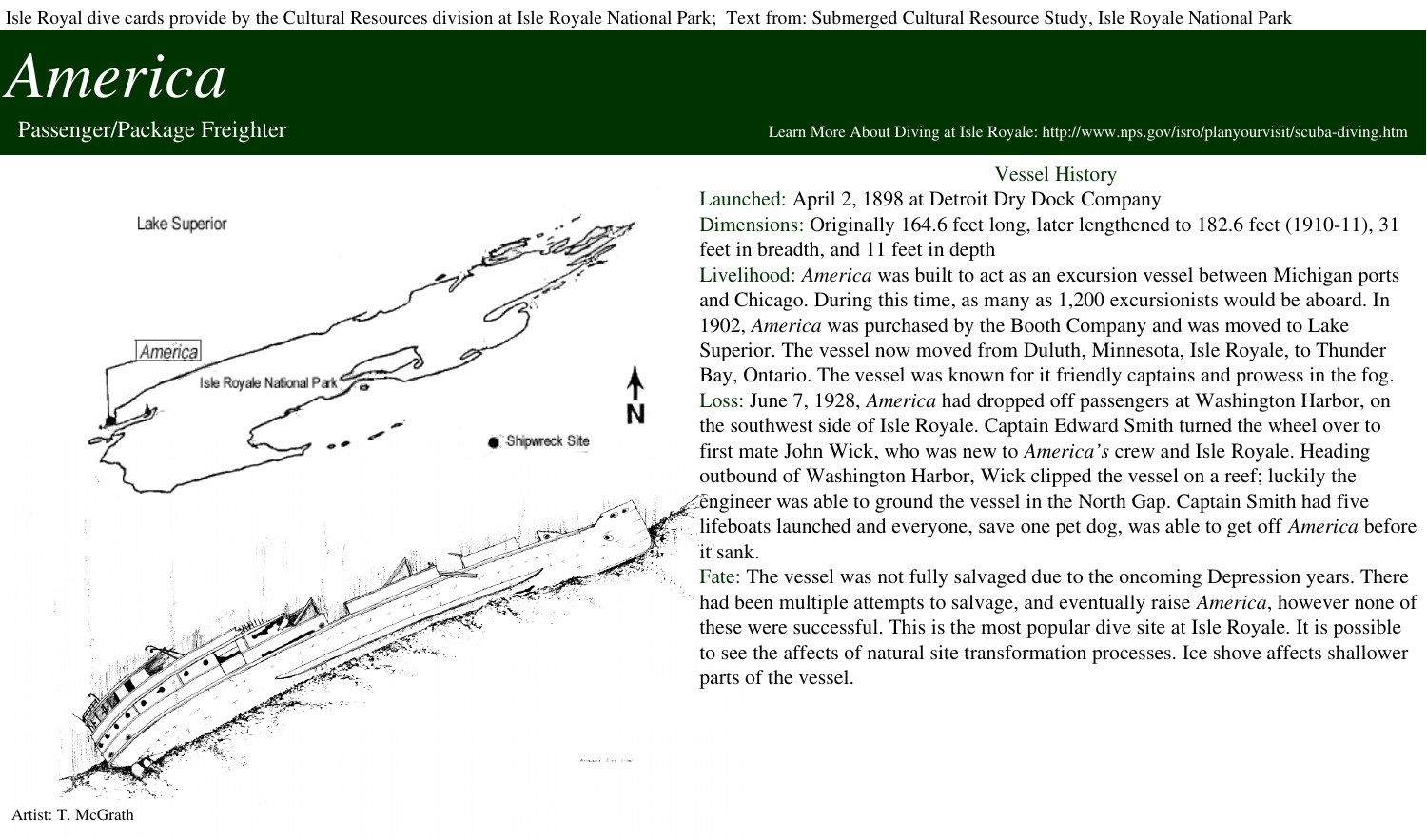Isle Royal dive cards provide by the Cultural Resources division at Isle Royale National Park; Text from: Submerged Cultural Resource Study, Isle Royale National Park

## *America*



Passenger/Package Freighter **Machanach and the Constant of the Constant of the Constant of the Constant of the Constant of the Constant of the Constant Orion and About Diving at Isle Royale: http://www.nps.gov/isro/planyou** 

## Vessel History

Launched: April 2, 1898 at Detroit Dry Dock Company

Dimensions: Originally  $164.6$  feet long, later lengthened to  $182.6$  feet  $(1910-11)$ ,  $31$ feet in breadth, and 11 feet in depth

Livelihood: *America* was built to act as an excursion vessel between Michigan ports and Chicago. During this time, as many as 1,200 excursionists would be aboard. In 1902, *America* was purchased by the Booth Company and was moved to Lake Superior. The vessel now moved from Duluth, Minnesota, Isle Royale, to Thunder Bay, Ontario. The vessel was known for it friendly captains and prowess in the fog. Loss: June 7, 1928, *America* had dropped off passengers at Washington Harbor, on the southwest side of Isle Royale. Captain Edward Smith turned the wheel over to first mate John Wick, who was new to *America's* crew and Isle Royale. Heading outbound of Washington Harbor, Wick clipped the vessel on a reef; luckily the engineer was able to ground the vessel in the North Gap. Captain Smith had five lifeboats launched and everyone, save one pet dog, was able to get off *America* before it sank.

Fate: The vessel was not fully salvaged due to the oncoming Depression years. There had been multiple attempts to salvage, and eventually raise *America*, however none of these were successful. This is the most popular dive site at Isle Royale. It is possible to see the affects of natural site transformation processes. Ice shove affects shallower parts of the vessel.

Artist: T. McGrath